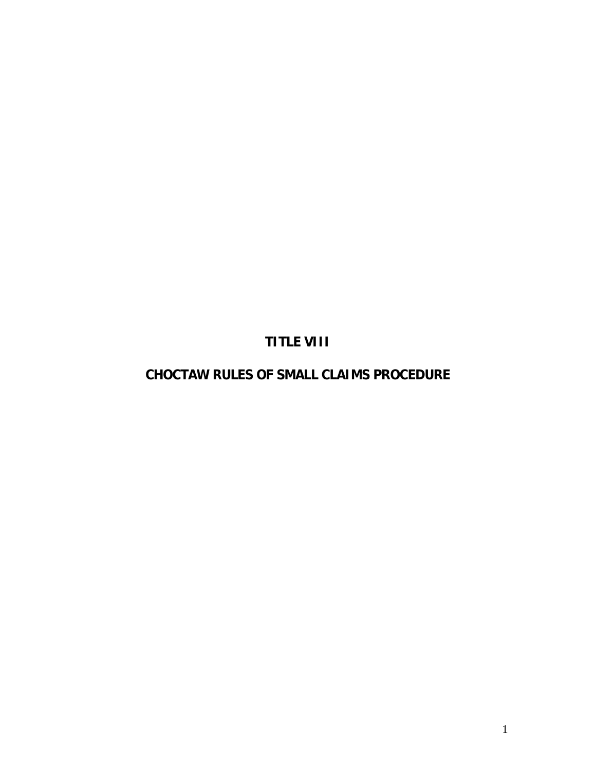# **TITLE VIII**

# **CHOCTAW RULES OF SMALL CLAIMS PROCEDURE**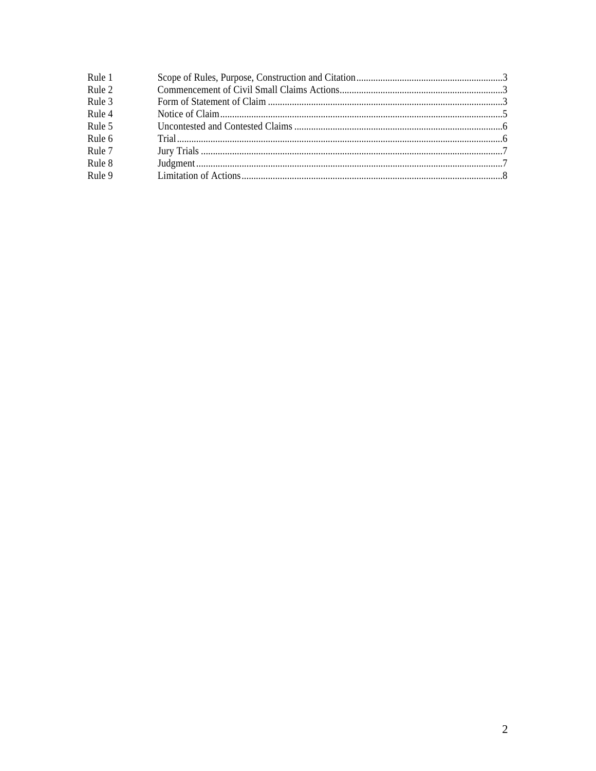| Rule 1 |  |
|--------|--|
| Rule 2 |  |
| Rule 3 |  |
| Rule 4 |  |
| Rule 5 |  |
| Rule 6 |  |
| Rule 7 |  |
| Rule 8 |  |
| Rule 9 |  |
|        |  |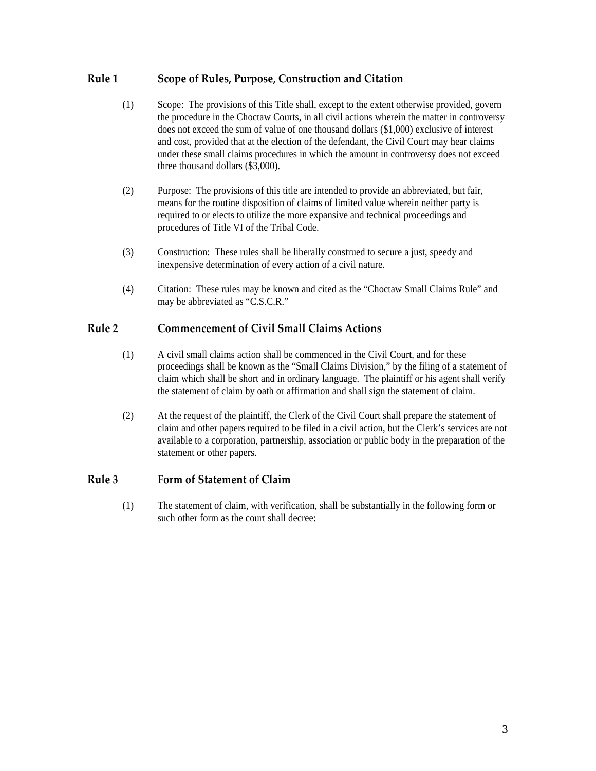### <span id="page-2-0"></span>**Rule 1 Scope of Rules, Purpose, Construction and Citation**

- (1) Scope: The provisions of this Title shall, except to the extent otherwise provided, govern the procedure in the Choctaw Courts, in all civil actions wherein the matter in controversy does not exceed the sum of value of one thousand dollars (\$1,000) exclusive of interest and cost, provided that at the election of the defendant, the Civil Court may hear claims under these small claims procedures in which the amount in controversy does not exceed three thousand dollars (\$3,000).
- (2) Purpose: The provisions of this title are intended to provide an abbreviated, but fair, means for the routine disposition of claims of limited value wherein neither party is required to or elects to utilize the more expansive and technical proceedings and procedures of Title VI of the Tribal Code.
- (3) Construction: These rules shall be liberally construed to secure a just, speedy and inexpensive determination of every action of a civil nature.
- (4) Citation: These rules may be known and cited as the "Choctaw Small Claims Rule" and may be abbreviated as "C.S.C.R."

## **Rule 2 Commencement of Civil Small Claims Actions**

- (1) A civil small claims action shall be commenced in the Civil Court, and for these proceedings shall be known as the "Small Claims Division," by the filing of a statement of claim which shall be short and in ordinary language. The plaintiff or his agent shall verify the statement of claim by oath or affirmation and shall sign the statement of claim.
- (2) At the request of the plaintiff, the Clerk of the Civil Court shall prepare the statement of claim and other papers required to be filed in a civil action, but the Clerk's services are not available to a corporation, partnership, association or public body in the preparation of the statement or other papers.

#### **Rule 3 Form of Statement of Claim**

(1) The statement of claim, with verification, shall be substantially in the following form or such other form as the court shall decree: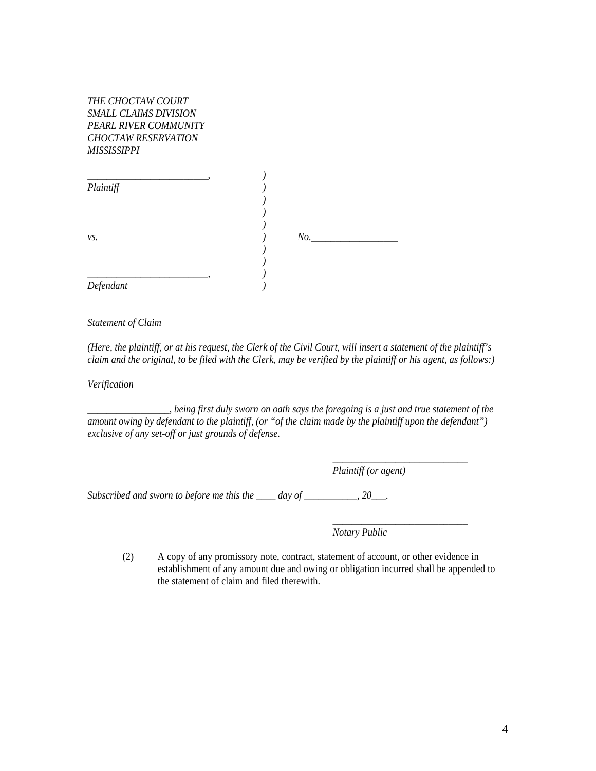| THE CHOCTAW COURT            |
|------------------------------|
| <i>SMALL CLAIMS DIVISION</i> |
| PEARL RIVER COMMUNITY        |
| <b>CHOCTAW RESERVATION</b>   |
| MISSISSIPPI                  |

| Plaintiff |     |
|-----------|-----|
|           |     |
|           |     |
|           |     |
| vs.       | No. |
|           |     |
|           |     |
| Defendant |     |

*Statement of Claim* 

*(Here, the plaintiff, or at his request, the Clerk of the Civil Court, will insert a statement of the plaintiff's claim and the original, to be filed with the Clerk, may be verified by the plaintiff or his agent, as follows:)*

*Verification* 

*\_\_\_\_\_\_\_\_\_\_\_\_\_\_\_\_\_, being first duly sworn on oath says the foregoing is a just and true statement of the amount owing by defendant to the plaintiff, (or "of the claim made by the plaintiff upon the defendant") exclusive of any set-off or just grounds of defense.* 

 *\_\_\_\_\_\_\_\_\_\_\_\_\_\_\_\_\_\_\_\_\_\_\_\_\_\_\_\_* 

 *\_\_\_\_\_\_\_\_\_\_\_\_\_\_\_\_\_\_\_\_\_\_\_\_\_\_\_\_* 

 *Plaintiff (or agent)* 

*Subscribed and sworn to before me this the \_\_\_\_ day of \_\_\_\_\_\_\_\_\_\_\_, 20\_\_\_.* 

 *Notary Public*

(2) A copy of any promissory note, contract, statement of account, or other evidence in establishment of any amount due and owing or obligation incurred shall be appended to the statement of claim and filed therewith.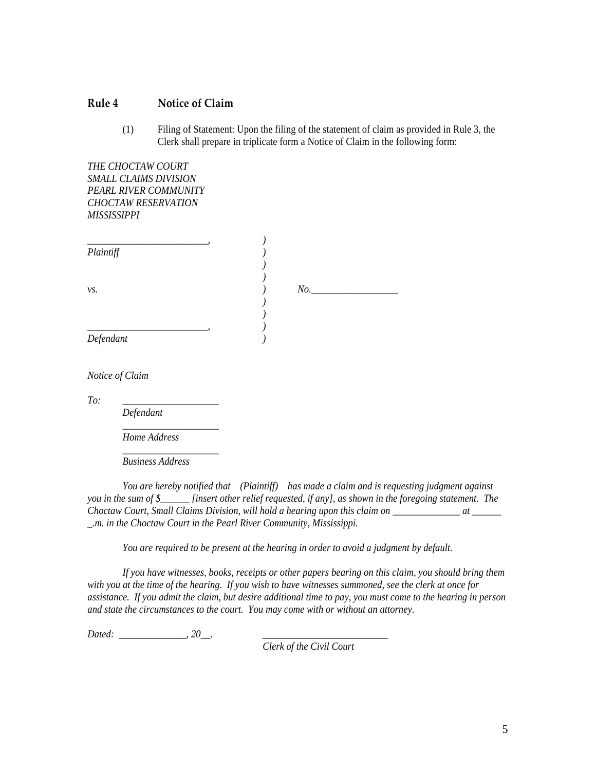#### <span id="page-4-0"></span>**Rule 4 Notice of Claim**

(1) Filing of Statement: Upon the filing of the statement of claim as provided in Rule 3, the Clerk shall prepare in triplicate form a Notice of Claim in the following form:

*THE CHOCTAW COURT SMALL CLAIMS DIVISION PEARL RIVER COMMUNITY CHOCTAW RESERVATION MISSISSIPPI* 

| Plaintiff |     |
|-----------|-----|
|           |     |
|           |     |
| vs.       | No. |
|           |     |
|           |     |
|           |     |
| Defendant |     |
|           |     |

*Notice of Claim* 

*To: \_\_\_\_\_\_\_\_\_\_\_\_\_\_\_\_\_\_\_\_* 

 *Defendant* 

 *\_\_\_\_\_\_\_\_\_\_\_\_\_\_\_\_\_\_\_\_ Home Address* 

 *\_\_\_\_\_\_\_\_\_\_\_\_\_\_\_\_\_\_\_\_ Business Address* 

*You are hereby notified that (Plaintiff) has made a claim and is requesting judgment against you in the sum of \$\_\_\_\_\_\_ [insert other relief requested, if any], as shown in the foregoing statement. The Choctaw Court, Small Claims Division, will hold a hearing upon this claim on \_\_\_\_\_\_\_\_\_\_\_\_\_\_ at \_\_\_\_\_\_ \_.m. in the Choctaw Court in the Pearl River Community, Mississippi.* 

*You are required to be present at the hearing in order to avoid a judgment by default.* 

*If you have witnesses, books, receipts or other papers bearing on this claim, you should bring them with you at the time of the hearing. If you wish to have witnesses summoned, see the clerk at once for assistance. If you admit the claim, but desire additional time to pay, you must come to the hearing in person and state the circumstances to the court. You may come with or without an attorney.* 

*Dated: \_\_\_\_\_\_\_\_\_\_\_\_\_\_, 20\_\_. \_\_\_\_\_\_\_\_\_\_\_\_\_\_\_\_\_\_\_\_\_\_\_\_\_\_* 

 *Clerk of the Civil Court*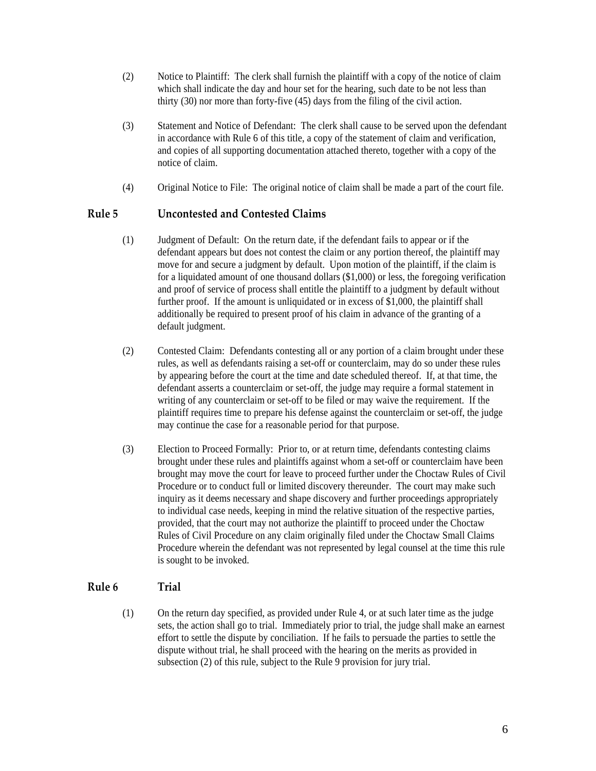- <span id="page-5-0"></span>(2) Notice to Plaintiff: The clerk shall furnish the plaintiff with a copy of the notice of claim which shall indicate the day and hour set for the hearing, such date to be not less than thirty (30) nor more than forty-five (45) days from the filing of the civil action.
- (3) Statement and Notice of Defendant: The clerk shall cause to be served upon the defendant in accordance with Rule 6 of this title, a copy of the statement of claim and verification, and copies of all supporting documentation attached thereto, together with a copy of the notice of claim.
- (4) Original Notice to File: The original notice of claim shall be made a part of the court file.

### **Rule 5 Uncontested and Contested Claims**

- (1) Judgment of Default: On the return date, if the defendant fails to appear or if the defendant appears but does not contest the claim or any portion thereof, the plaintiff may move for and secure a judgment by default. Upon motion of the plaintiff, if the claim is for a liquidated amount of one thousand dollars (\$1,000) or less, the foregoing verification and proof of service of process shall entitle the plaintiff to a judgment by default without further proof. If the amount is unliquidated or in excess of \$1,000, the plaintiff shall additionally be required to present proof of his claim in advance of the granting of a default judgment.
- (2) Contested Claim: Defendants contesting all or any portion of a claim brought under these rules, as well as defendants raising a set-off or counterclaim, may do so under these rules by appearing before the court at the time and date scheduled thereof. If, at that time, the defendant asserts a counterclaim or set-off, the judge may require a formal statement in writing of any counterclaim or set-off to be filed or may waive the requirement. If the plaintiff requires time to prepare his defense against the counterclaim or set-off, the judge may continue the case for a reasonable period for that purpose.
- (3) Election to Proceed Formally: Prior to, or at return time, defendants contesting claims brought under these rules and plaintiffs against whom a set-off or counterclaim have been brought may move the court for leave to proceed further under the Choctaw Rules of Civil Procedure or to conduct full or limited discovery thereunder. The court may make such inquiry as it deems necessary and shape discovery and further proceedings appropriately to individual case needs, keeping in mind the relative situation of the respective parties, provided, that the court may not authorize the plaintiff to proceed under the Choctaw Rules of Civil Procedure on any claim originally filed under the Choctaw Small Claims Procedure wherein the defendant was not represented by legal counsel at the time this rule is sought to be invoked.

#### **Rule 6 Trial**

(1) On the return day specified, as provided under Rule 4, or at such later time as the judge sets, the action shall go to trial. Immediately prior to trial, the judge shall make an earnest effort to settle the dispute by conciliation. If he fails to persuade the parties to settle the dispute without trial, he shall proceed with the hearing on the merits as provided in subsection (2) of this rule, subject to the Rule 9 provision for jury trial.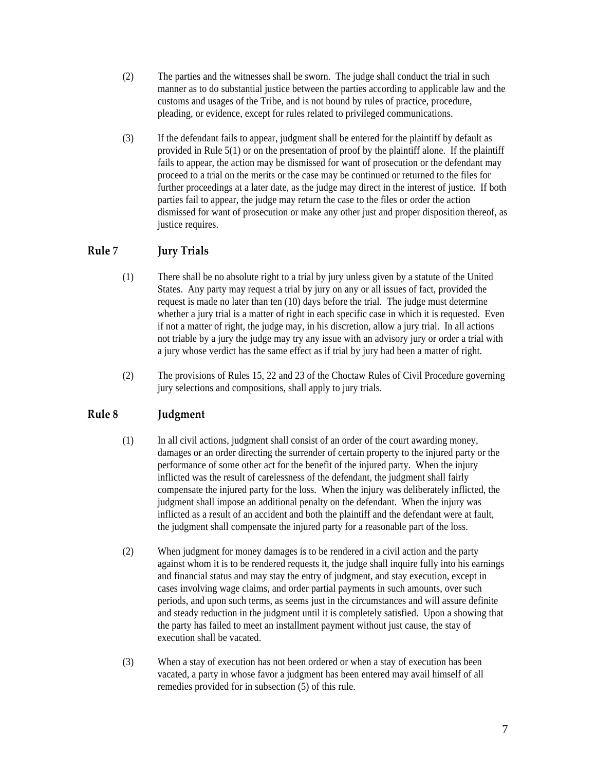- <span id="page-6-0"></span>(2) The parties and the witnesses shall be sworn. The judge shall conduct the trial in such manner as to do substantial justice between the parties according to applicable law and the customs and usages of the Tribe, and is not bound by rules of practice, procedure, pleading, or evidence, except for rules related to privileged communications.
- (3) If the defendant fails to appear, judgment shall be entered for the plaintiff by default as provided in Rule 5(1) or on the presentation of proof by the plaintiff alone. If the plaintiff fails to appear, the action may be dismissed for want of prosecution or the defendant may proceed to a trial on the merits or the case may be continued or returned to the files for further proceedings at a later date, as the judge may direct in the interest of justice. If both parties fail to appear, the judge may return the case to the files or order the action dismissed for want of prosecution or make any other just and proper disposition thereof, as justice requires.

## **Rule 7 Jury Trials**

- (1) There shall be no absolute right to a trial by jury unless given by a statute of the United States. Any party may request a trial by jury on any or all issues of fact, provided the request is made no later than ten (10) days before the trial. The judge must determine whether a jury trial is a matter of right in each specific case in which it is requested. Even if not a matter of right, the judge may, in his discretion, allow a jury trial. In all actions not triable by a jury the judge may try any issue with an advisory jury or order a trial with a jury whose verdict has the same effect as if trial by jury had been a matter of right.
- (2) The provisions of Rules 15, 22 and 23 of the Choctaw Rules of Civil Procedure governing jury selections and compositions, shall apply to jury trials.

# **Rule 8 Judgment**

- (1) In all civil actions, judgment shall consist of an order of the court awarding money, damages or an order directing the surrender of certain property to the injured party or the performance of some other act for the benefit of the injured party. When the injury inflicted was the result of carelessness of the defendant, the judgment shall fairly compensate the injured party for the loss. When the injury was deliberately inflicted, the judgment shall impose an additional penalty on the defendant. When the injury was inflicted as a result of an accident and both the plaintiff and the defendant were at fault, the judgment shall compensate the injured party for a reasonable part of the loss.
- (2) When judgment for money damages is to be rendered in a civil action and the party against whom it is to be rendered requests it, the judge shall inquire fully into his earnings and financial status and may stay the entry of judgment, and stay execution, except in cases involving wage claims, and order partial payments in such amounts, over such periods, and upon such terms, as seems just in the circumstances and will assure definite and steady reduction in the judgment until it is completely satisfied. Upon a showing that the party has failed to meet an installment payment without just cause, the stay of execution shall be vacated.
- (3) When a stay of execution has not been ordered or when a stay of execution has been vacated, a party in whose favor a judgment has been entered may avail himself of all remedies provided for in subsection (5) of this rule.